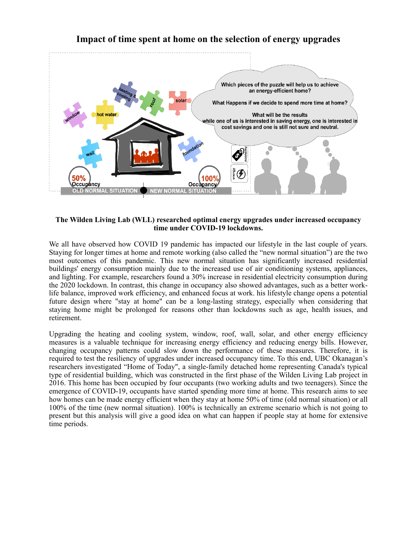

## **Impact of time spent at home on the selection of energy upgrades**

## **The Wilden Living Lab (WLL) researched optimal energy upgrades under increased occupancy time under COVID-19 lockdowns.**

We all have observed how COVID 19 pandemic has impacted our lifestyle in the last couple of years. Staying for longer times at home and remote working (also called the "new normal situation") are the two most outcomes of this pandemic. This new normal situation has significantly increased residential buildings' energy consumption mainly due to the increased use of air conditioning systems, appliances, and lighting. For example, researchers found a 30% increase in residential electricity consumption during the 2020 lockdown. In contrast, this change in occupancy also showed advantages, such as a better worklife balance, improved work efficiency, and enhanced focus at work. his lifestyle change opens a potential future design where "stay at home" can be a long-lasting strategy, especially when considering that staying home might be prolonged for reasons other than lockdowns such as age, health issues, and retirement.

Upgrading the heating and cooling system, window, roof, wall, solar, and other energy efficiency measures is a valuable technique for increasing energy efficiency and reducing energy bills. However, changing occupancy patterns could slow down the performance of these measures. Therefore, it is required to test the resiliency of upgrades under increased occupancy time. To this end, UBC Okanagan's researchers investigated "Home of Today", a single-family detached home representing Canada's typical type of residential building, which was constructed in the first phase of the Wilden Living Lab project in 2016. This home has been occupied by four occupants (two working adults and two teenagers). Since the emergence of COVID-19, occupants have started spending more time at home. This research aims to see how homes can be made energy efficient when they stay at home 50% of time (old normal situation) or all 100% of the time (new normal situation). 100% is technically an extreme scenario which is not going to present but this analysis will give a good idea on what can happen if people stay at home for extensive time periods.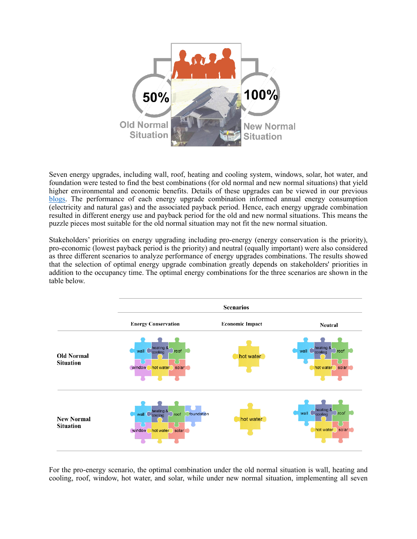

Seven energy upgrades, including wall, roof, heating and cooling system, windows, solar, hot water, and foundation were tested to find the best combinations (for old normal and new normal situations) that yield higher environmental and economic benefits. Details of these upgrades can be viewed in our previous [blogs.](https://wildenlivinglab.com/2019/03/12/residential-carbon-footprint/) The performance of each energy upgrade combination informed annual energy consumption (electricity and natural gas) and the associated payback period. Hence, each energy upgrade combination resulted in different energy use and payback period for the old and new normal situations. This means the puzzle pieces most suitable for the old normal situation may not fit the new normal situation.

Stakeholders' priorities on energy upgrading including pro-energy (energy conservation is the priority), pro-economic (lowest payback period is the priority) and neutral (equally important) were also considered as three different scenarios to analyze performance of energy upgrades combinations. The results showed that the selection of optimal energy upgrade combination greatly depends on stakeholders' priorities in addition to the occupancy time. The optimal energy combinations for the three scenarios are shown in the table below.



For the pro-energy scenario, the optimal combination under the old normal situation is wall, heating and cooling, roof, window, hot water, and solar, while under new normal situation, implementing all seven